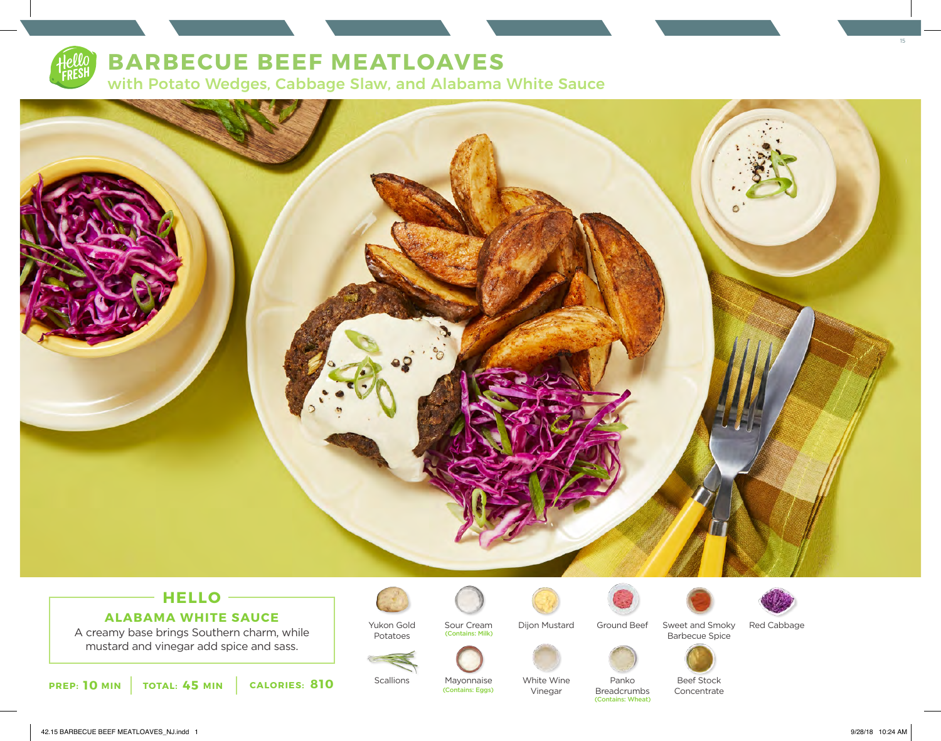

# **BARBECUE BEEF MEATLOAVES**

with Potato Wedges, Cabbage Slaw, and Alabama White Sauce



### **HELLO ALABAMA WHITE SAUCE**

A creamy base brings Southern charm, while mustard and vinegar add spice and sass.

Yukon Gold Potatoes Sour Cream (Contains: Milk)



Ground Beef



Panko



Sweet and Smoky Barbecue Spice Red Cabbage





Concentrate

**10** MIN | TOTAL: 45 MIN | CALORIES: 810

**Scallions** 

Mayonnaise White Wine Vinegar (Contains: Eggs)

Breadcrumbs (Contains: Wheat)

15